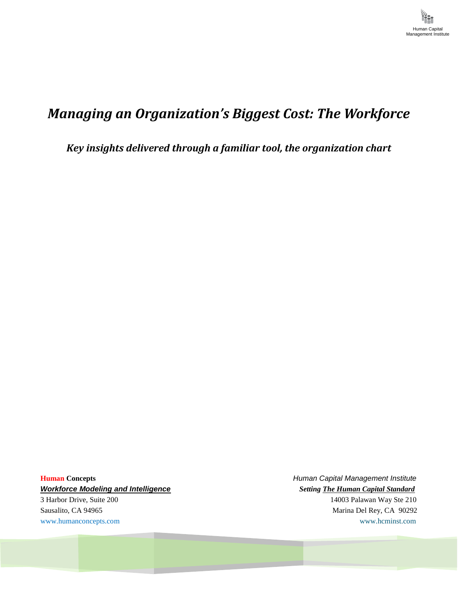## *Managing an Organization's Biggest Cost: The Workforce*

*Key insights delivered through a familiar tool, the organization chart*

*Workforce Modeling and Intelligence Setting The Human Capital Standard* 3 Harbor Drive, Suite 200 14003 Palawan Way Ste 210 Sausalito, CA 94965 Marina Del Rey, CA 90292

**Human Concepts** *Human Capital Management Institute* [www.humanconcepts.com](http://www.humanconcepts.com/) www.heminst.com www.heminst.com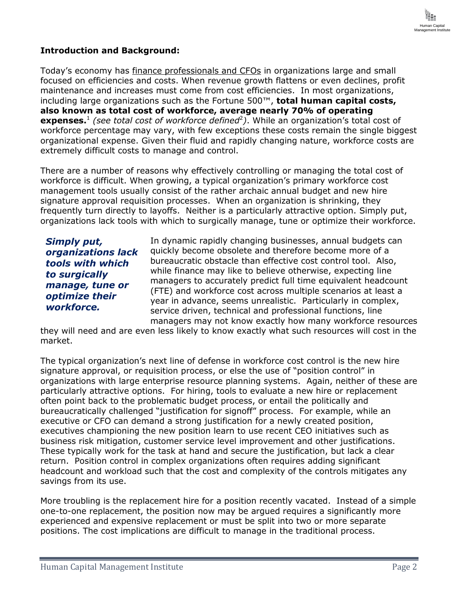

## **Introduction and Background:**

Today's economy has finance professionals and CFOs in organizations large and small focused on efficiencies and costs. When revenue growth flattens or even declines, profit maintenance and increases must come from cost efficiencies. In most organizations, including large organizations such as the Fortune 500™, **total human capital costs, also known as total cost of workforce, average nearly 70% of operating expenses.**<sup>1</sup> *(see total cost of workforce defined*<sup>2</sup> *)*. While an organization's total cost of workforce percentage may vary, with few exceptions these costs remain the single biggest organizational expense. Given their fluid and rapidly changing nature, workforce costs are extremely difficult costs to manage and control.

There are a number of reasons why effectively controlling or managing the total cost of workforce is difficult. When growing, a typical organization's primary workforce cost management tools usually consist of the rather archaic annual budget and new hire signature approval requisition processes. When an organization is shrinking, they frequently turn directly to layoffs. Neither is a particularly attractive option. Simply put, organizations lack tools with which to surgically manage, tune or optimize their workforce.

*Simply put, organizations lack tools with which to surgically manage, tune or optimize their workforce.* 

In dynamic rapidly changing businesses, annual budgets can quickly become obsolete and therefore become more of a bureaucratic obstacle than effective cost control tool. Also, while finance may like to believe otherwise, expecting line managers to accurately predict full time equivalent headcount (FTE) and workforce cost across multiple scenarios at least a year in advance, seems unrealistic. Particularly in complex, service driven, technical and professional functions, line managers may not know exactly how many workforce resources

they will need and are even less likely to know exactly what such resources will cost in the market.

The typical organization's next line of defense in workforce cost control is the new hire signature approval, or requisition process, or else the use of "position control" in organizations with large enterprise resource planning systems. Again, neither of these are particularly attractive options. For hiring, tools to evaluate a new hire or replacement often point back to the problematic budget process, or entail the politically and bureaucratically challenged "justification for signoff" process. For example, while an executive or CFO can demand a strong justification for a newly created position, executives championing the new position learn to use recent CEO initiatives such as business risk mitigation, customer service level improvement and other justifications. These typically work for the task at hand and secure the justification, but lack a clear return. Position control in complex organizations often requires adding significant headcount and workload such that the cost and complexity of the controls mitigates any savings from its use.

More troubling is the replacement hire for a position recently vacated. Instead of a simple one-to-one replacement, the position now may be argued requires a significantly more experienced and expensive replacement or must be split into two or more separate positions. The cost implications are difficult to manage in the traditional process.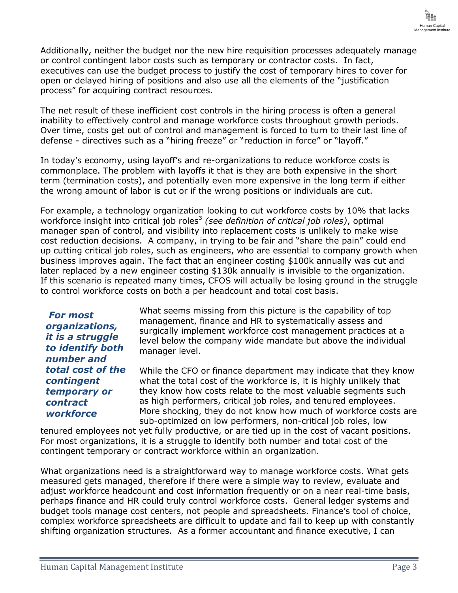

Additionally, neither the budget nor the new hire requisition processes adequately manage or control contingent labor costs such as temporary or contractor costs. In fact, executives can use the budget process to justify the cost of temporary hires to cover for open or delayed hiring of positions and also use all the elements of the "justification process" for acquiring contract resources.

The net result of these inefficient cost controls in the hiring process is often a general inability to effectively control and manage workforce costs throughout growth periods. Over time, costs get out of control and management is forced to turn to their last line of defense - directives such as a "hiring freeze" or "reduction in force" or "layoff."

In today's economy, using layoff's and re-organizations to reduce workforce costs is commonplace. The problem with layoffs it that is they are both expensive in the short term (termination costs), and potentially even more expensive in the long term if either the wrong amount of labor is cut or if the wrong positions or individuals are cut.

For example, a technology organization looking to cut workforce costs by 10% that lacks workforce insight into critical job roles<sup>3</sup> (see definition of critical job roles), optimal manager span of control, and visibility into replacement costs is unlikely to make wise cost reduction decisions. A company, in trying to be fair and "share the pain" could end up cutting critical job roles, such as engineers, who are essential to company growth when business improves again. The fact that an engineer costing \$100k annually was cut and later replaced by a new engineer costing \$130k annually is invisible to the organization. If this scenario is repeated many times, CFOS will actually be losing ground in the struggle to control workforce costs on both a per headcount and total cost basis.

*For most organizations, it is a struggle to identify both number and total cost of the contingent temporary or contract workforce* 

What seems missing from this picture is the capability of top management, finance and HR to systematically assess and surgically implement workforce cost management practices at a level below the company wide mandate but above the individual manager level.

While the CFO or finance department may indicate that they know what the total cost of the workforce is, it is highly unlikely that they know how costs relate to the most valuable segments such as high performers, critical job roles, and tenured employees. More shocking, they do not know how much of workforce costs are sub-optimized on low performers, non-critical job roles, low

tenured employees not yet fully productive, or are tied up in the cost of vacant positions. For most organizations, it is a struggle to identify both number and total cost of the contingent temporary or contract workforce within an organization.

What organizations need is a straightforward way to manage workforce costs. What gets measured gets managed, therefore if there were a simple way to review, evaluate and adiust workforce headcount and cost information frequently or on a near real-time basis, perhaps finance and HR could truly control workforce costs. General ledger systems and budget tools manage cost centers, not people and spreadsheets. Finance's tool of choice, complex workforce spreadsheets are difficult to update and fail to keep up with constantly shifting organization structures. As a former accountant and finance executive, I can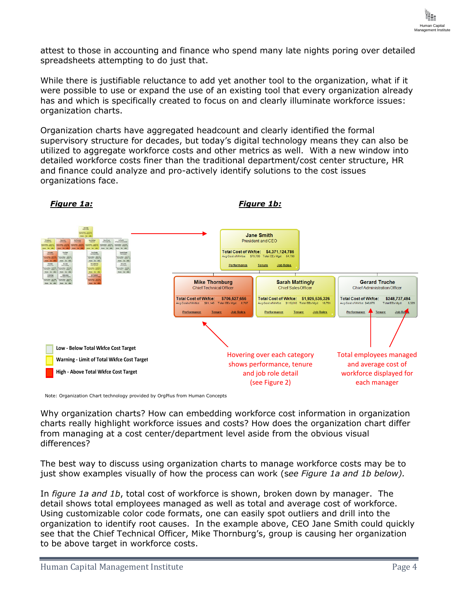

attest to those in accounting and finance who spend many late nights poring over detailed spreadsheets attempting to do just that.

While there is justifiable reluctance to add yet another tool to the organization, what if it were possible to use or expand the use of an existing tool that every organization already has and which is specifically created to focus on and clearly illuminate workforce issues: organization charts.

Organization charts have aggregated headcount and clearly identified the formal supervisory structure for decades, but today's digital technology means they can also be utilized to aggregate workforce costs and other metrics as well. With a new window into detailed workforce costs finer than the traditional department/cost center structure, HR and finance could analyze and pro-actively identify solutions to the cost issues organizations face.



Note: Organization Chart technology provided by OrgPlus from Human Concepts

Why organization charts? How can embedding workforce cost information in organization charts really highlight workforce issues and costs? How does the organization chart differ from managing at a cost center/department level aside from the obvious visual differences?

The best way to discuss using organization charts to manage workforce costs may be to just show examples visually of how the process can work (s*ee Figure 1a and 1b below).*

In *figure 1a and 1b*, total cost of workforce is shown, broken down by manager. The detail shows total employees managed as well as total and average cost of workforce. Using customizable color code formats, one can easily spot outliers and drill into the organization to identify root causes. In the example above, CEO Jane Smith could quickly see that the Chief Technical Officer, Mike Thornburg's, group is causing her organization to be above target in workforce costs.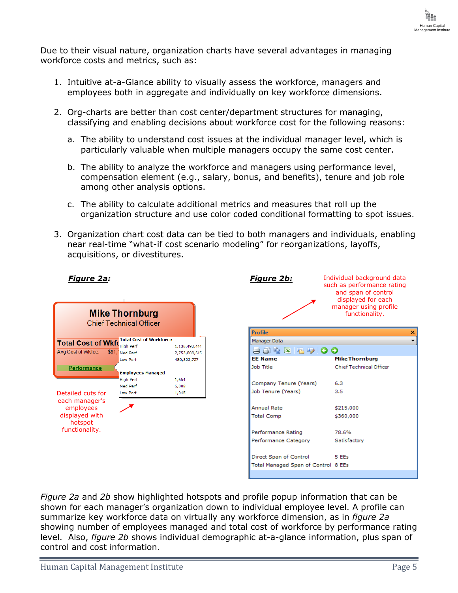

Due to their visual nature, organization charts have several advantages in managing workforce costs and metrics, such as:

- 1. Intuitive at-a-Glance ability to visually assess the workforce, managers and employees both in aggregate and individually on key workforce dimensions.
- 2. Org-charts are better than cost center/department structures for managing, classifying and enabling decisions about workforce cost for the following reasons:
	- a. The ability to understand cost issues at the individual manager level, which is particularly valuable when multiple managers occupy the same cost center.
	- b. The ability to analyze the workforce and managers using performance level, compensation element (e.g., salary, bonus, and benefits), tenure and job role among other analysis options.
	- c. The ability to calculate additional metrics and measures that roll up the organization structure and use color coded conditional formatting to spot issues.
- 3. Organization chart cost data can be tied to both managers and individuals, enabling near real-time "what-if cost scenario modeling" for reorganizations, layoffs, acquisitions, or divestitures.

**Profile** 

**EE Name** 

Job Title

| <b>Mike Thornburg</b><br><b>Chief Technical Officer</b>                                         |                                |               |  |  |  |  |  |  |
|-------------------------------------------------------------------------------------------------|--------------------------------|---------------|--|--|--|--|--|--|
| <b>Total Cost of Wkfd</b>                                                                       | <b>Total Cost of Workforce</b> |               |  |  |  |  |  |  |
|                                                                                                 | <b>High Perf</b>               | 1,136,492,444 |  |  |  |  |  |  |
| Avg Cost of Wkfce:                                                                              | \$81.7<br>Med Perf             | 2,753,808,615 |  |  |  |  |  |  |
|                                                                                                 | Low Perf                       | 480,823,727   |  |  |  |  |  |  |
| Performance                                                                                     | <b>Employees Managed</b>       |               |  |  |  |  |  |  |
| Detailed cuts for<br>each manager's<br>employees<br>displayed with<br>hotspot<br>functionality. | <b>High Perf</b>               | 1,654         |  |  |  |  |  |  |
|                                                                                                 | Med Perf                       | 6,008         |  |  |  |  |  |  |
|                                                                                                 | Low Perf                       | 1,045         |  |  |  |  |  |  |
|                                                                                                 |                                |               |  |  |  |  |  |  |

*Figure 2a:*

**Figure 2b:** Individual background data such as performance rating and span of control displayed for each manager using profile functionality.Manager Data 884GB900 Mike Thornburg Chief Technical Officer

| Company Tenure (Years)              | 6.3          |
|-------------------------------------|--------------|
| Job Tenure (Years)                  | 3.5          |
|                                     |              |
| <b>Annual Rate</b>                  | \$215,000    |
| <b>Total Comp</b>                   | \$360,000    |
|                                     |              |
| Performance Rating                  | 78.6%        |
| Performance Category                | Satisfactory |
|                                     |              |
| Direct Span of Control              | 5 EEs        |
| Total Managed Span of Control 8 EEs |              |
|                                     |              |

*Figure 2a* and *2b* show highlighted hotspots and profile popup information that can be shown for each manager's organization down to individual employee level. A profile can summarize key workforce data on virtually any workforce dimension, as in *figure 2a* showing number of employees managed and total cost of workforce by performance rating level. Also, *figure 2b* shows individual demographic at-a-glance information, plus span of control and cost information.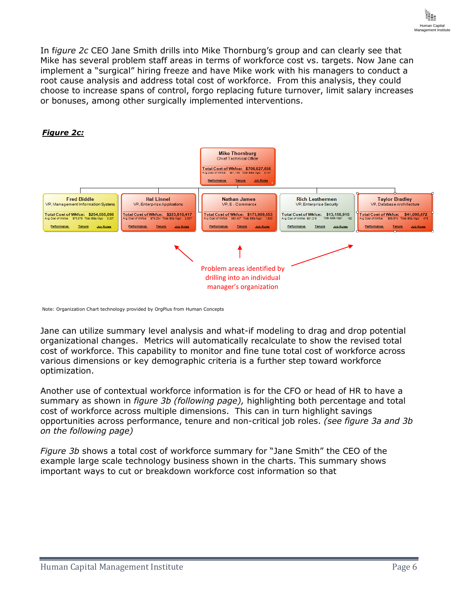In f*igure 2c* CEO Jane Smith drills into Mike Thornburg's group and can clearly see that Mike has several problem staff areas in terms of workforce cost vs. targets. Now Jane can implement a "surgical" hiring freeze and have Mike work with his managers to conduct a root cause analysis and address total cost of workforce. From this analysis, they could choose to increase spans of control, forgo replacing future turnover, limit salary increases or bonuses, among other surgically implemented interventions.



Note: Organization Chart technology provided by OrgPlus from Human Concepts

Jane can utilize summary level analysis and what-if modeling to drag and drop potential organizational changes. Metrics will automatically recalculate to show the revised total cost of workforce. This capability to monitor and fine tune total cost of workforce across various dimensions or key demographic criteria is a further step toward workforce optimization.

Another use of contextual workforce information is for the CFO or head of HR to have a summary as shown in *figure 3b (following page),* highlighting both percentage and total cost of workforce across multiple dimensions. This can in turn highlight savings opportunities across performance, tenure and non-critical job roles. *(see figure 3a and 3b on the following page)*

*Figure 3b* shows a total cost of workforce summary for "Jane Smith" the CEO of the example large scale technology business shown in the charts. This summary shows important ways to cut or breakdown workforce cost information so that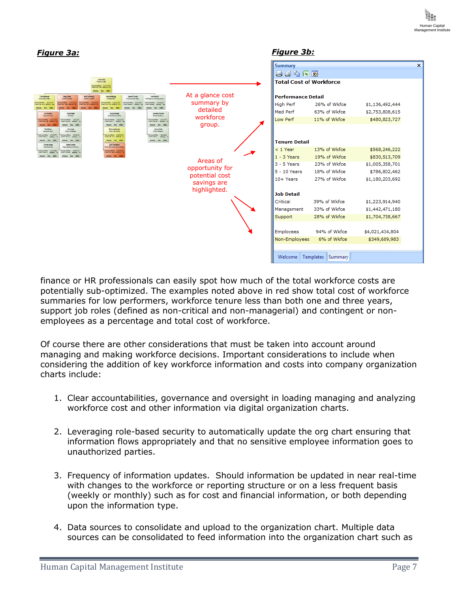

| <b>Figure 3a:</b>                                                                                                                                                                                                                                                                                                                                                                                                                                                                                                                                                                                                                                                                                                                                                                                                                                                                                                                                                                                                                                                                                                                                                                                                           |                                                                              | <b>Figure 3b:</b>                                                                                                                                                                                      |                                                                                                                                                                                  |                                                                                                                                                                                    |                           |
|-----------------------------------------------------------------------------------------------------------------------------------------------------------------------------------------------------------------------------------------------------------------------------------------------------------------------------------------------------------------------------------------------------------------------------------------------------------------------------------------------------------------------------------------------------------------------------------------------------------------------------------------------------------------------------------------------------------------------------------------------------------------------------------------------------------------------------------------------------------------------------------------------------------------------------------------------------------------------------------------------------------------------------------------------------------------------------------------------------------------------------------------------------------------------------------------------------------------------------|------------------------------------------------------------------------------|--------------------------------------------------------------------------------------------------------------------------------------------------------------------------------------------------------|----------------------------------------------------------------------------------------------------------------------------------------------------------------------------------|------------------------------------------------------------------------------------------------------------------------------------------------------------------------------------|---------------------------|
| Jane Emith                                                                                                                                                                                                                                                                                                                                                                                                                                                                                                                                                                                                                                                                                                                                                                                                                                                                                                                                                                                                                                                                                                                                                                                                                  |                                                                              | <b>Summary</b><br>日日も区ヶ<br><b>Total Cost of Workforce</b>                                                                                                                                              |                                                                                                                                                                                  |                                                                                                                                                                                    | $\boldsymbol{\mathsf{x}}$ |
| TasiConsPindor (AUTOSCO)<br>Peterson (TSI) betters (CSI)<br><b>Baltimore</b><br><b>Sec.</b><br><b>SEAR</b><br><b>Jim Franklin</b><br>Tim Highlower<br>Charticerature Ohio<br>Gragulantes<br>ChartranslatOfter<br>Mike Thornburg<br>tershMeffrow<br><b>Gerard Trushe</b><br>Christmascher<br>Chiefaras Ofice<br>Charlane a ratin Chin<br><b>AR Reservator Institutions</b><br>anterswer Hassach<br>TaxiCured Mids 5242727/94<br>sicuratives. Smoth<br>anters Web - 2012/01/2<br>Service - 2015 - Maria 1<br>TankCongFilleton StreetCable<br>asidan d'élébe 30234<br>346 445<br>Salesman Seat Adh<br>Jim Banders<br>Fred Blddle<br>Taylor Bradley<br>Candioe Flowers<br>Tel Steve<br><b>Discussions group liable</b><br>Dracer Processing<br><b>AAS Fort-Ineris</b><br>mičana Write (1993) (200<br>Sould am of Winfox (1912-1912)<br>In Carolina (1921) - Ing Minimum<br>Tusi Camal Winter - 2016/12/2017<br>Soulderd'Wide: 150371<br>Income P.M. Service<br><b>Colombia</b> Jane<br><b>Schools Security</b><br><b>Adams</b><br>Franciscan<br><b>Richi astharman</b><br>Harry Ulrich<br>Drectric <sup>h</sup> eces of<br><b>Hall Linnel</b><br>Disco: Cretionage<br><b>Feat Stuff Imerican</b><br><b>Chicago Make Markets</b> | At a glance cost<br>summary by<br>detailed<br>workforce<br>group.            | <b>Performance Detail</b><br>High Perf<br>Med Perf<br>Low Perf                                                                                                                                         | 26% of Wkfce<br>63% of Wkfce<br>11% of Wkfce                                                                                                                                     | \$1,136,492,444<br>\$2,753,808,615<br>\$480,823,727                                                                                                                                |                           |
| <b>SCHLIPPIAN SITELIAL</b><br><b><i>INGHAMMA POKACION</i></b><br><b>MACARUTACCA SELDERIC</b><br>Tank Coas of Winter Links Mountain<br><b>School Sec 1850</b><br>Bart Thompson<br>Christs Grape<br>Nation James<br><b>Fast Engelish</b><br>Dieser, Balgetig and Fagering<br><b>State/, Sathers Development Pres</b><br>Testberefilden Storritate<br>Tasicucation: 1222/4/17<br>TaxCondiNide: 12040722<br>Open in also been price<br>falses for inte<br>februar has paid<br>februar has inter                                                                                                                                                                                                                                                                                                                                                                                                                                                                                                                                                                                                                                                                                                                                 | Areas of<br>opportunity for<br>potential cost<br>savings are<br>highlighted. | <b>Tenure Detail</b><br>$< 1$ Year<br>$1 - 3$ Years<br>$3 - 5$ Years<br>$5 - 10$ Years<br>10+ Years<br><b>Job Detail</b><br>Critical<br>Management<br>Support<br>Employees<br>Non-Employees<br>Welcome | 13% of Wkfce<br>19% of Wkfce<br>23% of Wkfce<br>18% of Wkfce<br>27% of Wkfce<br>39% of Wkfce<br>33% of Wkfce<br>28% of Wkfce<br>94% of Wkfce<br>6% of Wkfce<br>Templates Summary | \$568,246,222<br>\$830,513,709<br>\$1,005,358,701<br>\$786,802,462<br>\$1,180,203,692<br>\$1,223,914,940<br>\$1,442,471,180<br>\$1,704,738,667<br>\$4,021,434,804<br>\$349,689,983 |                           |

finance or HR professionals can easily spot how much of the total workforce costs are potentially sub-optimized. The examples noted above in red show total cost of workforce summaries for low performers, workforce tenure less than both one and three years, support job roles (defined as non-critical and non-managerial) and contingent or nonemployees as a percentage and total cost of workforce.

Of course there are other considerations that must be taken into account around managing and making workforce decisions. Important considerations to include when considering the addition of key workforce information and costs into company organization charts include:

- 1. Clear accountabilities, governance and oversight in loading managing and analyzing workforce cost and other information via digital organization charts.
- 2. Leveraging role-based security to automatically update the org chart ensuring that information flows appropriately and that no sensitive employee information goes to unauthorized parties.
- 3. Frequency of information updates. Should information be updated in near real-time with changes to the workforce or reporting structure or on a less frequent basis (weekly or monthly) such as for cost and financial information, or both depending upon the information type.
- 4. Data sources to consolidate and upload to the organization chart. Multiple data sources can be consolidated to feed information into the organization chart such as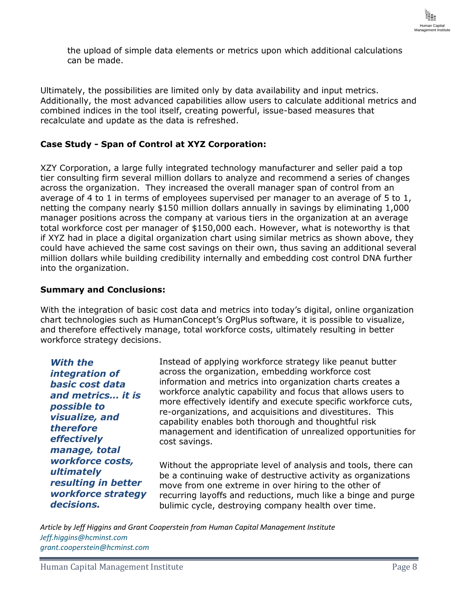

the upload of simple data elements or metrics upon which additional calculations can be made.

Ultimately, the possibilities are limited only by data availability and input metrics. Additionally, the most advanced capabilities allow users to calculate additional metrics and combined indices in the tool itself, creating powerful, issue-based measures that recalculate and update as the data is refreshed.

## **Case Study - Span of Control at XYZ Corporation:**

XZY Corporation, a large fully integrated technology manufacturer and seller paid a top tier consulting firm several million dollars to analyze and recommend a series of changes across the organization. They increased the overall manager span of control from an average of 4 to 1 in terms of employees supervised per manager to an average of 5 to 1, netting the company nearly \$150 million dollars annually in savings by eliminating 1,000 manager positions across the company at various tiers in the organization at an average total workforce cost per manager of \$150,000 each. However, what is noteworthy is that if XYZ had in place a digital organization chart using similar metrics as shown above, they could have achieved the same cost savings on their own, thus saving an additional several million dollars while building credibility internally and embedding cost control DNA further into the organization.

## **Summary and Conclusions:**

With the integration of basic cost data and metrics into today's digital, online organization chart technologies such as HumanConcept's OrgPlus software, it is possible to visualize, and therefore effectively manage, total workforce costs, ultimately resulting in better workforce strategy decisions.

*With the integration of basic cost data and metrics… it is possible to visualize, and therefore effectively manage, total workforce costs, ultimately resulting in better workforce strategy decisions.*

Instead of applying workforce strategy like peanut butter across the organization, embedding workforce cost information and metrics into organization charts creates a workforce analytic capability and focus that allows users to more effectively identify and execute specific workforce cuts, re-organizations, and acquisitions and divestitures. This capability enables both thorough and thoughtful risk management and identification of unrealized opportunities for cost savings.

Without the appropriate level of analysis and tools, there can be a continuing wake of destructive activity as organizations move from one extreme in over hiring to the other of recurring layoffs and reductions, much like a binge and purge bulimic cycle, destroying company health over time.

*Article by Jeff Higgins and Grant Cooperstein from Human Capital Management Institute [Jeff.higgins@hcminst.com](mailto:Jeff.higgins@hcminst.com) [grant.cooperstein@hcminst.com](mailto:grant.cooperstein@hcminst.com)*